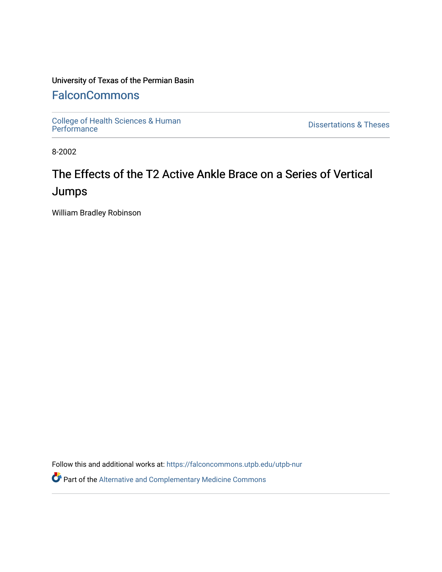### University of Texas of the Permian Basin

## **[FalconCommons](https://falconcommons.utpb.edu/)**

[College of Health Sciences & Human](https://falconcommons.utpb.edu/utpb-nur) 

**Dissertations & Theses** 

8-2002

# The Effects of the T2 Active Ankle Brace on a Series of Vertical Jumps

William Bradley Robinson

Follow this and additional works at: [https://falconcommons.utpb.edu/utpb-nur](https://falconcommons.utpb.edu/utpb-nur?utm_source=falconcommons.utpb.edu%2Futpb-nur%2F6&utm_medium=PDF&utm_campaign=PDFCoverPages) 

Part of the [Alternative and Complementary Medicine Commons](http://network.bepress.com/hgg/discipline/649?utm_source=falconcommons.utpb.edu%2Futpb-nur%2F6&utm_medium=PDF&utm_campaign=PDFCoverPages)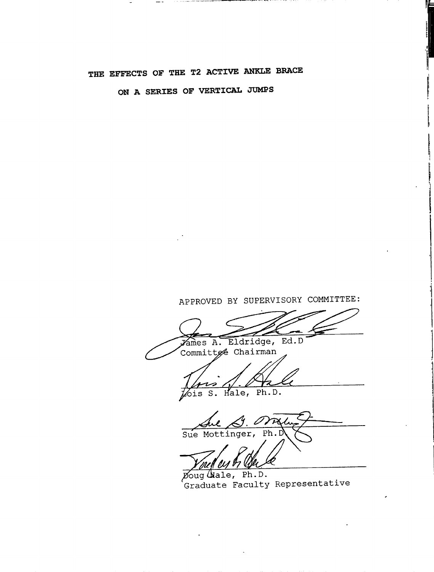## **THE EFFECTS OF THE T2 ACTIVE ANKLE BRACE**

**ON A SERIES OF VERTICAL JUMPS**

APPROVED BY SUPERVISORY COMMITTEE: Eldridge, Ed.D  $\chi$ ames  $A$ . Committee Chairman ΗZ pois S. Hale, Ph.D. l Sue Mottinger,  $\overline{Ph}$ 

Doug Wale, Ph.D. 'Graduate Faculty Representative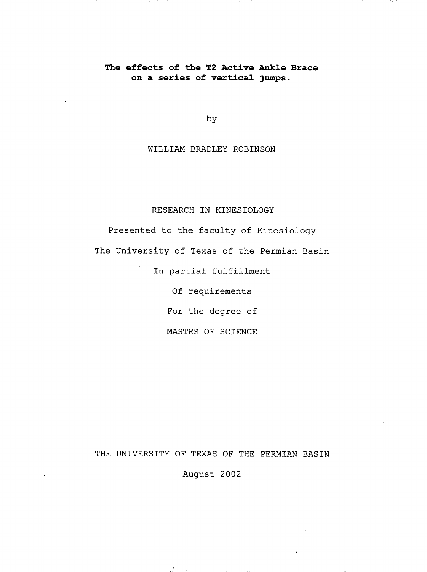#### **The effects of the T2 Active Ankle Brace on a series of vertical jumps.**

by

WILLIAM BRADLEY ROBINSON

### RESEARCH IN KINESIOLOGY

Presented to the faculty of Kinesiology The University of Texas of the Permian Basin

In partial fulfillment

Of requirements

For the degree of

MASTER OF SCIENCE

#### THE UNIVERSITY OF TEXAS OF THE PERMIAN BASIN

August 2002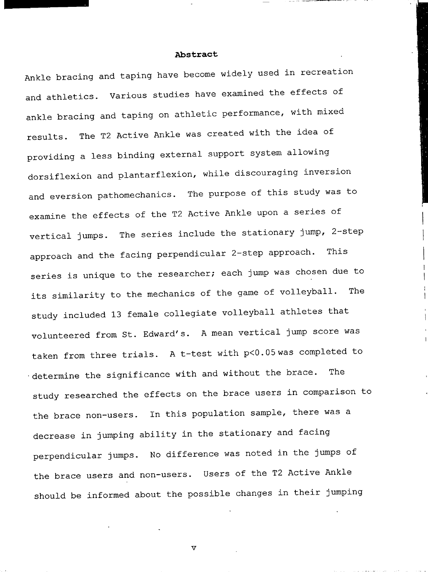#### **Abstract**

Ankle bracing and taping have become widely used in recreation and athletics. Various studies have examined the effects of ankle bracing and taping on athletic performance, with mixed results. The T2 Active Ankle was created with the idea of providing a less binding external support system allowing dorsiflexion and plantarflexion, while discouraging inversion and eversion pathomechanics. The purpose of this study was to examine the effects of the T2 Active Ankle upon a series of vertical jumps. The series include the stationary jump, 2-step approach and the facing perpendicular 2-step approach. This series is unique to the researcher; each jump was chosen due to its similarity to the mechanics of the game of volleyball. The study included 13 female collegiate volleyball athletes that volunteered from St. Edward's. A mean vertical jump score was taken from three trials. A t-test with p<0.05was completed to  $\cdot$  determine the significance with and without the brace. The study researched the effects on the brace users in comparison to the brace non-users. In this population sample, there was a decrease in jumping ability in the stationary and facing perpendicular jumps. No difference was noted in the jumps of the brace users and non-users. Users of the T2 Active Ankle should be informed about the possible changes in their jumping

**V**